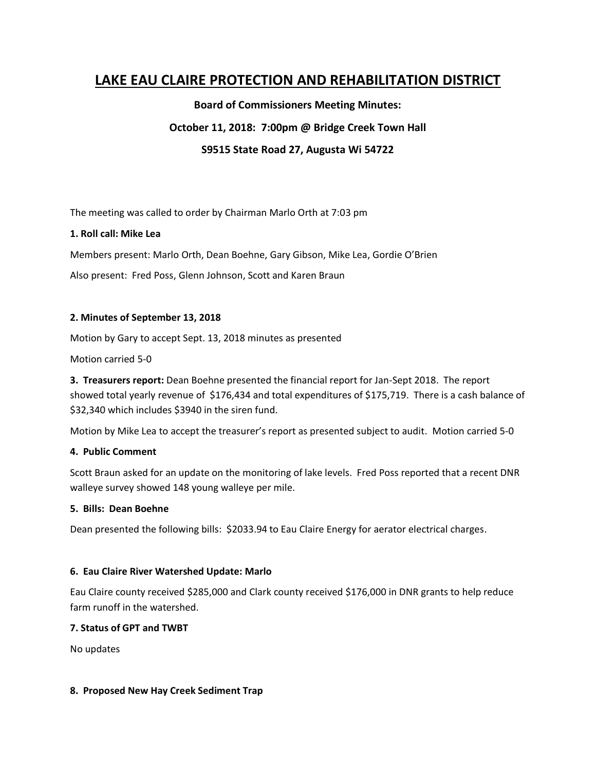# **LAKE EAU CLAIRE PROTECTION AND REHABILITATION DISTRICT**

**Board of Commissioners Meeting Minutes: October 11, 2018: 7:00pm @ Bridge Creek Town Hall**

**S9515 State Road 27, Augusta Wi 54722**

The meeting was called to order by Chairman Marlo Orth at 7:03 pm

### **1. Roll call: Mike Lea**

Members present: Marlo Orth, Dean Boehne, Gary Gibson, Mike Lea, Gordie O'Brien

Also present: Fred Poss, Glenn Johnson, Scott and Karen Braun

#### **2. Minutes of September 13, 2018**

Motion by Gary to accept Sept. 13, 2018 minutes as presented

Motion carried 5-0

**3. Treasurers report:** Dean Boehne presented the financial report for Jan-Sept 2018. The report showed total yearly revenue of \$176,434 and total expenditures of \$175,719. There is a cash balance of \$32,340 which includes \$3940 in the siren fund.

Motion by Mike Lea to accept the treasurer's report as presented subject to audit. Motion carried 5-0

#### **4. Public Comment**

Scott Braun asked for an update on the monitoring of lake levels. Fred Poss reported that a recent DNR walleye survey showed 148 young walleye per mile.

#### **5. Bills: Dean Boehne**

Dean presented the following bills: \$2033.94 to Eau Claire Energy for aerator electrical charges.

#### **6. Eau Claire River Watershed Update: Marlo**

Eau Claire county received \$285,000 and Clark county received \$176,000 in DNR grants to help reduce farm runoff in the watershed.

#### **7. Status of GPT and TWBT**

No updates

#### **8. Proposed New Hay Creek Sediment Trap**